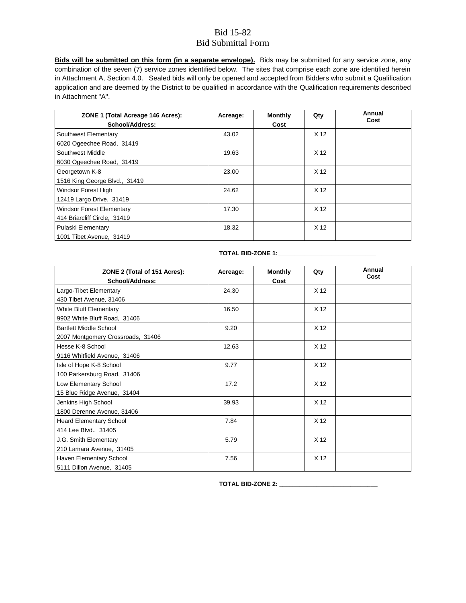**Bids will be submitted on this form (in a separate envelope).** Bids may be submitted for any service zone, any combination of the seven (7) service zones identified below. The sites that comprise each zone are identified herein in Attachment A, Section 4.0. Sealed bids will only be opened and accepted from Bidders who submit a Qualification application and are deemed by the District to be qualified in accordance with the Qualification requirements described in Attachment "A".

| ZONE 1 (Total Acreage 146 Acres):<br><b>School/Address:</b>      | Acreage: | <b>Monthly</b><br>Cost | Qty             | Annual<br>Cost |
|------------------------------------------------------------------|----------|------------------------|-----------------|----------------|
| Southwest Elementary<br>6020 Ogeechee Road, 31419                | 43.02    |                        | X <sub>12</sub> |                |
| Southwest Middle<br>6030 Ogeechee Road, 31419                    | 19.63    |                        | X <sub>12</sub> |                |
| Georgetown K-8<br>1516 King George Blvd., 31419                  | 23.00    |                        | X <sub>12</sub> |                |
| Windsor Forest High<br>12419 Largo Drive, 31419                  | 24.62    |                        | X <sub>12</sub> |                |
| <b>Windsor Forest Elementary</b><br>414 Briarcliff Circle, 31419 | 17.30    |                        | X <sub>12</sub> |                |
| Pulaski Elementary<br>1001 Tibet Avenue, 31419                   | 18.32    |                        | X <sub>12</sub> |                |

| ZONE 2 (Total of 151 Acres):      | Acreage: | <b>Monthly</b> | Qty             | Annual<br>Cost |
|-----------------------------------|----------|----------------|-----------------|----------------|
| <b>School/Address:</b>            |          | Cost           |                 |                |
| Largo-Tibet Elementary            | 24.30    |                | X <sub>12</sub> |                |
| 430 Tibet Avenue, 31406           |          |                |                 |                |
| White Bluff Elementary            | 16.50    |                | X <sub>12</sub> |                |
| 9902 White Bluff Road, 31406      |          |                |                 |                |
| <b>Bartlett Middle School</b>     | 9.20     |                | X <sub>12</sub> |                |
| 2007 Montgomery Crossroads, 31406 |          |                |                 |                |
| Hesse K-8 School                  | 12.63    |                | X <sub>12</sub> |                |
| 9116 Whitfield Avenue, 31406      |          |                |                 |                |
| Isle of Hope K-8 School           | 9.77     |                | X <sub>12</sub> |                |
| 100 Parkersburg Road, 31406       |          |                |                 |                |
| Low Elementary School             | 17.2     |                | X <sub>12</sub> |                |
| 15 Blue Ridge Avenue, 31404       |          |                |                 |                |
| Jenkins High School               | 39.93    |                | X <sub>12</sub> |                |
| 1800 Derenne Avenue, 31406        |          |                |                 |                |
| <b>Heard Elementary School</b>    | 7.84     |                | X <sub>12</sub> |                |
| 414 Lee Blvd., 31405              |          |                |                 |                |
| J.G. Smith Elementary             | 5.79     |                | X <sub>12</sub> |                |
| 210 Lamara Avenue, 31405          |          |                |                 |                |
| Haven Elementary School           | 7.56     |                | X <sub>12</sub> |                |
| 5111 Dillon Avenue, 31405         |          |                |                 |                |

## **TOTAL BID-ZONE 1:\_\_\_\_\_\_\_\_\_\_\_\_\_\_\_\_\_\_\_\_\_\_\_\_\_\_\_\_\_**

**TOTAL BID-ZONE 2: \_\_\_\_\_\_\_\_\_\_\_\_\_\_\_\_\_\_\_\_\_\_\_\_\_\_\_\_\_**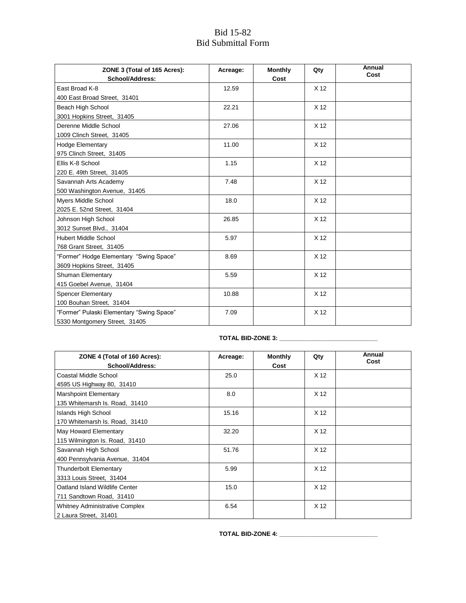| ZONE 3 (Total of 165 Acres):              | Acreage: | <b>Monthly</b> | Qty             | Annual<br>Cost |
|-------------------------------------------|----------|----------------|-----------------|----------------|
| <b>School/Address:</b>                    |          | Cost           |                 |                |
| East Broad K-8                            | 12.59    |                | X <sub>12</sub> |                |
| 400 East Broad Street, 31401              |          |                |                 |                |
| Beach High School                         | 22.21    |                | X <sub>12</sub> |                |
| 3001 Hopkins Street, 31405                |          |                |                 |                |
| Derenne Middle School                     | 27.06    |                | X <sub>12</sub> |                |
| 1009 Clinch Street, 31405                 |          |                |                 |                |
| <b>Hodge Elementary</b>                   | 11.00    |                | X <sub>12</sub> |                |
| 975 Clinch Street, 31405                  |          |                |                 |                |
| Ellis K-8 School                          | 1.15     |                | X <sub>12</sub> |                |
| 220 E. 49th Street, 31405                 |          |                |                 |                |
| Savannah Arts Academy                     | 7.48     |                | X <sub>12</sub> |                |
| 500 Washington Avenue, 31405              |          |                |                 |                |
| <b>Myers Middle School</b>                | 18.0     |                | X <sub>12</sub> |                |
| 2025 E. 52nd Street, 31404                |          |                |                 |                |
| Johnson High School                       | 26.85    |                | X <sub>12</sub> |                |
| 3012 Sunset Blvd., 31404                  |          |                |                 |                |
| <b>Hubert Middle School</b>               | 5.97     |                | X <sub>12</sub> |                |
| 768 Grant Street, 31405                   |          |                |                 |                |
| "Former" Hodge Elementary "Swing Space"   | 8.69     |                | X <sub>12</sub> |                |
| 3609 Hopkins Street, 31405                |          |                |                 |                |
| Shuman Elementary                         | 5.59     |                | X <sub>12</sub> |                |
| 415 Goebel Avenue, 31404                  |          |                |                 |                |
| <b>Spencer Elementary</b>                 | 10.88    |                | X <sub>12</sub> |                |
| 100 Bouhan Street, 31404                  |          |                |                 |                |
| "Former" Pulaski Elementary "Swing Space" | 7.09     |                | X <sub>12</sub> |                |
| 5330 Montgomery Street, 31405             |          |                |                 |                |

# **TOTAL BID-ZONE 3: \_\_\_\_\_\_\_\_\_\_\_\_\_\_\_\_\_\_\_\_\_\_\_\_\_\_\_\_\_**

| ZONE 4 (Total of 160 Acres):<br>School/Address: | Acreage: | <b>Monthly</b><br>Cost | Qty             | Annual<br>Cost |
|-------------------------------------------------|----------|------------------------|-----------------|----------------|
| Coastal Middle School                           | 25.0     |                        | X <sub>12</sub> |                |
| 4595 US Highway 80, 31410                       |          |                        |                 |                |
| Marshpoint Elementary                           | 8.0      |                        | X <sub>12</sub> |                |
| 135 Whitemarsh Is. Road, 31410                  |          |                        |                 |                |
| Islands High School                             | 15.16    |                        | X <sub>12</sub> |                |
| 170 Whitemarsh Is. Road, 31410                  |          |                        |                 |                |
| May Howard Elementary                           | 32.20    |                        | X <sub>12</sub> |                |
| 115 Wilmington Is. Road, 31410                  |          |                        |                 |                |
| Savannah High School                            | 51.76    |                        | X <sub>12</sub> |                |
| 400 Pennsylvania Avenue, 31404                  |          |                        |                 |                |
| <b>Thunderbolt Elementary</b>                   | 5.99     |                        | X <sub>12</sub> |                |
| 3313 Louis Street, 31404                        |          |                        |                 |                |
| Oatland Island Wildlife Center                  | 15.0     |                        | X <sub>12</sub> |                |
| 711 Sandtown Road, 31410                        |          |                        |                 |                |
| <b>Whitney Administrative Complex</b>           | 6.54     |                        | X <sub>12</sub> |                |
| 2 Laura Street, 31401                           |          |                        |                 |                |

**TOTAL BID-ZONE 4: \_\_\_\_\_\_\_\_\_\_\_\_\_\_\_\_\_\_\_\_\_\_\_\_\_\_\_\_\_**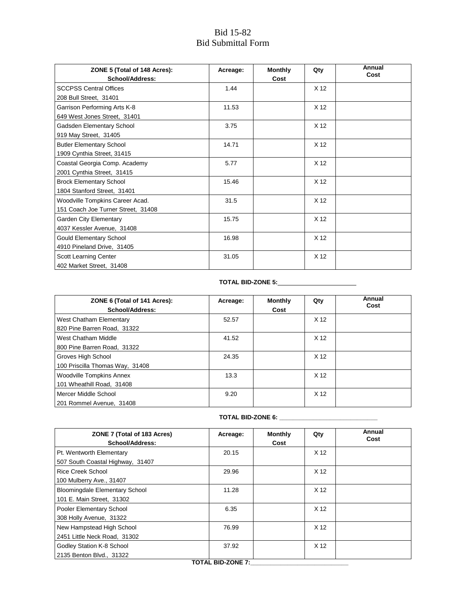| ZONE 5 (Total of 148 Acres):<br>School/Address:                       | Acreage: | <b>Monthly</b><br>Cost | Qty             | Annual<br>Cost |
|-----------------------------------------------------------------------|----------|------------------------|-----------------|----------------|
| <b>SCCPSS Central Offices</b><br>208 Bull Street, 31401               | 1.44     |                        | X <sub>12</sub> |                |
| Garrison Performing Arts K-8<br>649 West Jones Street, 31401          | 11.53    |                        | X <sub>12</sub> |                |
| Gadsden Elementary School<br>919 May Street, 31405                    | 3.75     |                        | X <sub>12</sub> |                |
| <b>Butler Elementary School</b><br>1909 Cynthia Street, 31415         | 14.71    |                        | X <sub>12</sub> |                |
| Coastal Georgia Comp. Academy<br>2001 Cynthia Street, 31415           | 5.77     |                        | X <sub>12</sub> |                |
| <b>Brock Elementary School</b><br>1804 Stanford Street, 31401         | 15.46    |                        | X <sub>12</sub> |                |
| Woodville Tompkins Career Acad.<br>151 Coach Joe Turner Street, 31408 | 31.5     |                        | X <sub>12</sub> |                |
| Garden City Elementary<br>4037 Kessler Avenue, 31408                  | 15.75    |                        | X <sub>12</sub> |                |
| <b>Gould Elementary School</b><br>4910 Pineland Drive, 31405          | 16.98    |                        | X <sub>12</sub> |                |
| Scott Learning Center<br>402 Market Street, 31408                     | 31.05    |                        | X <sub>12</sub> |                |

## **TOTAL BID-ZONE 5:**

| ZONE 6 (Total of 141 Acres):<br><b>School/Address:</b> | Acreage: | <b>Monthly</b><br>Cost | Qty             | Annual<br>Cost |
|--------------------------------------------------------|----------|------------------------|-----------------|----------------|
| West Chatham Elementary                                | 52.57    |                        | X <sub>12</sub> |                |
| 820 Pine Barren Road, 31322                            |          |                        |                 |                |
| West Chatham Middle                                    | 41.52    |                        | X <sub>12</sub> |                |
| 800 Pine Barren Road, 31322                            |          |                        |                 |                |
| Groves High School                                     | 24.35    |                        | X <sub>12</sub> |                |
| 100 Priscilla Thomas Way, 31408                        |          |                        |                 |                |
| <b>Woodville Tompkins Annex</b>                        | 13.3     |                        | X <sub>12</sub> |                |
| 101 Wheathill Road, 31408                              |          |                        |                 |                |
| Mercer Middle School                                   | 9.20     |                        | X <sub>12</sub> |                |
| 201 Rommel Avenue, 31408                               |          |                        |                 |                |

#### **TOTAL BID-ZONE 6: \_\_\_\_\_\_\_\_\_\_\_\_\_\_\_\_\_\_\_\_\_\_\_\_\_\_\_\_\_**

| ZONE 7 (Total of 183 Acres)<br>School/Address:                     | Acreage: | <b>Monthly</b><br>Cost | Qty             | Annual<br>Cost |
|--------------------------------------------------------------------|----------|------------------------|-----------------|----------------|
| Pt. Wentworth Elementary<br>507 South Coastal Highway, 31407       | 20.15    |                        | X <sub>12</sub> |                |
| Rice Creek School<br>100 Mulberry Ave., 31407                      | 29.96    |                        | X <sub>12</sub> |                |
| <b>Bloomingdale Elementary School</b><br>101 E. Main Street, 31302 | 11.28    |                        | X <sub>12</sub> |                |
| Pooler Elementary School<br>308 Holly Avenue, 31322                | 6.35     |                        | X <sub>12</sub> |                |
| New Hampstead High School<br>2451 Little Neck Road, 31302          | 76.99    |                        | X <sub>12</sub> |                |
| Godley Station K-8 School<br>2135 Benton Blvd., 31322              | 37.92    |                        | X <sub>12</sub> |                |